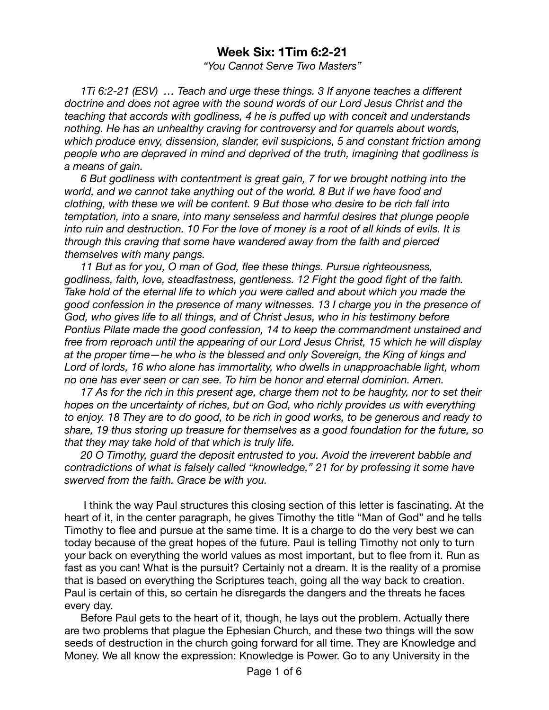## **Week Six: 1Tim 6:2-21**

*"You Cannot Serve Two Masters"* 

*1Ti 6:2-21 (ESV) … Teach and urge these things. 3 If anyone teaches a different doctrine and does not agree with the sound words of our Lord Jesus Christ and the teaching that accords with godliness, 4 he is puffed up with conceit and understands nothing. He has an unhealthy craving for controversy and for quarrels about words, which produce envy, dissension, slander, evil suspicions, 5 and constant friction among people who are depraved in mind and deprived of the truth, imagining that godliness is a means of gain.* 

*6 But godliness with contentment is great gain, 7 for we brought nothing into the world, and we cannot take anything out of the world. 8 But if we have food and clothing, with these we will be content. 9 But those who desire to be rich fall into temptation, into a snare, into many senseless and harmful desires that plunge people into ruin and destruction. 10 For the love of money is a root of all kinds of evils. It is through this craving that some have wandered away from the faith and pierced themselves with many pangs.* 

*11 But as for you, O man of God, flee these things. Pursue righteousness, godliness, faith, love, steadfastness, gentleness. 12 Fight the good fight of the faith. Take hold of the eternal life to which you were called and about which you made the good confession in the presence of many witnesses. 13 I charge you in the presence of God, who gives life to all things, and of Christ Jesus, who in his testimony before Pontius Pilate made the good confession, 14 to keep the commandment unstained and free from reproach until the appearing of our Lord Jesus Christ, 15 which he will display at the proper time—he who is the blessed and only Sovereign, the King of kings and Lord of lords, 16 who alone has immortality, who dwells in unapproachable light, whom no one has ever seen or can see. To him be honor and eternal dominion. Amen.* 

*17 As for the rich in this present age, charge them not to be haughty, nor to set their hopes on the uncertainty of riches, but on God, who richly provides us with everything to enjoy. 18 They are to do good, to be rich in good works, to be generous and ready to share, 19 thus storing up treasure for themselves as a good foundation for the future, so that they may take hold of that which is truly life.* 

*20 O Timothy, guard the deposit entrusted to you. Avoid the irreverent babble and contradictions of what is falsely called "knowledge," 21 for by professing it some have swerved from the faith. Grace be with you.* 

 I think the way Paul structures this closing section of this letter is fascinating. At the heart of it, in the center paragraph, he gives Timothy the title "Man of God" and he tells Timothy to flee and pursue at the same time. It is a charge to do the very best we can today because of the great hopes of the future. Paul is telling Timothy not only to turn your back on everything the world values as most important, but to flee from it. Run as fast as you can! What is the pursuit? Certainly not a dream. It is the reality of a promise that is based on everything the Scriptures teach, going all the way back to creation. Paul is certain of this, so certain he disregards the dangers and the threats he faces every day.

Before Paul gets to the heart of it, though, he lays out the problem. Actually there are two problems that plague the Ephesian Church, and these two things will the sow seeds of destruction in the church going forward for all time. They are Knowledge and Money. We all know the expression: Knowledge is Power. Go to any University in the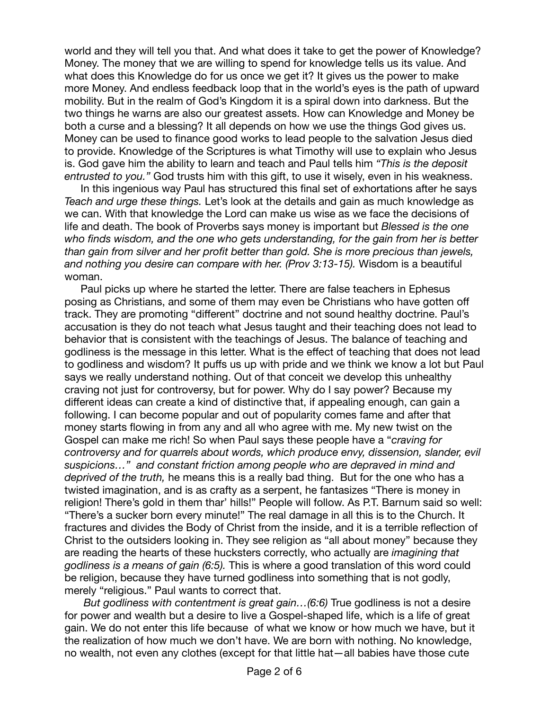world and they will tell you that. And what does it take to get the power of Knowledge? Money. The money that we are willing to spend for knowledge tells us its value. And what does this Knowledge do for us once we get it? It gives us the power to make more Money. And endless feedback loop that in the world's eyes is the path of upward mobility. But in the realm of God's Kingdom it is a spiral down into darkness. But the two things he warns are also our greatest assets. How can Knowledge and Money be both a curse and a blessing? It all depends on how we use the things God gives us. Money can be used to finance good works to lead people to the salvation Jesus died to provide. Knowledge of the Scriptures is what Timothy will use to explain who Jesus is. God gave him the ability to learn and teach and Paul tells him *"This is the deposit entrusted to you."* God trusts him with this gift, to use it wisely, even in his weakness.

In this ingenious way Paul has structured this final set of exhortations after he says *Teach and urge these things.* Let's look at the details and gain as much knowledge as we can. With that knowledge the Lord can make us wise as we face the decisions of life and death. The book of Proverbs says money is important but *Blessed is the one who finds wisdom, and the one who gets understanding, for the gain from her is better than gain from silver and her profit better than gold. She is more precious than jewels, and nothing you desire can compare with her. (Prov 3:13-15).* Wisdom is a beautiful woman.

Paul picks up where he started the letter. There are false teachers in Ephesus posing as Christians, and some of them may even be Christians who have gotten off track. They are promoting "different" doctrine and not sound healthy doctrine. Paul's accusation is they do not teach what Jesus taught and their teaching does not lead to behavior that is consistent with the teachings of Jesus. The balance of teaching and godliness is the message in this letter. What is the effect of teaching that does not lead to godliness and wisdom? It puffs us up with pride and we think we know a lot but Paul says we really understand nothing. Out of that conceit we develop this unhealthy craving not just for controversy, but for power. Why do I say power? Because my different ideas can create a kind of distinctive that, if appealing enough, can gain a following. I can become popular and out of popularity comes fame and after that money starts flowing in from any and all who agree with me. My new twist on the Gospel can make me rich! So when Paul says these people have a "*craving for controversy and for quarrels about words, which produce envy, dissension, slander, evil suspicions…" and constant friction among people who are depraved in mind and deprived of the truth,* he means this is a really bad thing. But for the one who has a twisted imagination, and is as crafty as a serpent, he fantasizes "There is money in religion! There's gold in them thar' hills!" People will follow. As P.T. Barnum said so well: "There's a sucker born every minute!" The real damage in all this is to the Church. It fractures and divides the Body of Christ from the inside, and it is a terrible reflection of Christ to the outsiders looking in. They see religion as "all about money" because they are reading the hearts of these hucksters correctly, who actually are *imagining that godliness is a means of gain (6:5).* This is where a good translation of this word could be religion, because they have turned godliness into something that is not godly, merely "religious." Paul wants to correct that.

*But godliness with contentment is great gain…(6:6)* True godliness is not a desire for power and wealth but a desire to live a Gospel-shaped life, which is a life of great gain. We do not enter this life because of what we know or how much we have, but it the realization of how much we don't have. We are born with nothing. No knowledge, no wealth, not even any clothes (except for that little hat—all babies have those cute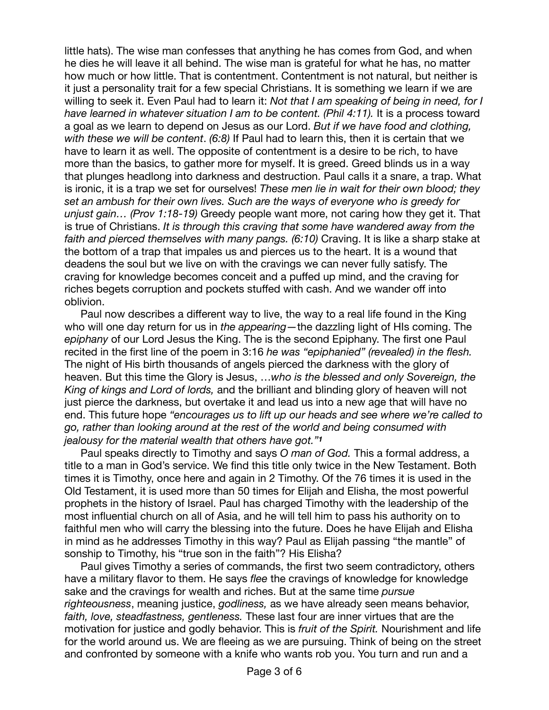little hats). The wise man confesses that anything he has comes from God, and when he dies he will leave it all behind. The wise man is grateful for what he has, no matter how much or how little. That is contentment. Contentment is not natural, but neither is it just a personality trait for a few special Christians. It is something we learn if we are willing to seek it. Even Paul had to learn it: *Not that I am speaking of being in need, for I have learned in whatever situation I am to be content. (Phil 4:11).* It is a process toward a goal as we learn to depend on Jesus as our Lord. *But if we have food and clothing, with these we will be content*. *(6:8)* If Paul had to learn this, then it is certain that we have to learn it as well. The opposite of contentment is a desire to be rich, to have more than the basics, to gather more for myself. It is greed. Greed blinds us in a way that plunges headlong into darkness and destruction. Paul calls it a snare, a trap. What is ironic, it is a trap we set for ourselves! *These men lie in wait for their own blood; they set an ambush for their own lives. Such are the ways of everyone who is greedy for unjust gain… (Prov 1:18-19)* Greedy people want more, not caring how they get it. That is true of Christians. *It is through this craving that some have wandered away from the*  faith and pierced themselves with many pangs. (6:10) Craving. It is like a sharp stake at the bottom of a trap that impales us and pierces us to the heart. It is a wound that deadens the soul but we live on with the cravings we can never fully satisfy. The craving for knowledge becomes conceit and a puffed up mind, and the craving for riches begets corruption and pockets stuffed with cash. And we wander off into oblivion.

Paul now describes a different way to live, the way to a real life found in the King who will one day return for us in *the appearing—*the dazzling light of HIs coming. The *epiphany* of our Lord Jesus the King. The is the second Epiphany. The first one Paul recited in the first line of the poem in 3:16 *he was "epiphanied" (revealed) in the flesh.*  The night of His birth thousands of angels pierced the darkness with the glory of heaven. But this time the Glory is Jesus, …*who is the blessed and only Sovereign, the King of kings and Lord of lords,* and the brilliant and blinding glory of heaven will not just pierce the darkness, but overtake it and lead us into a new age that will have no end. This future hope *"encourages us to lift up our heads and see where we're called to go, rather than looking around at the rest of the world and being consumed with jealousy for the material wealth that others have got."<sup>1</sup>*

Paul speaks directly to Timothy and says *O man of God.* This a formal address, a title to a man in God's service. We find this title only twice in the New Testament. Both times it is Timothy, once here and again in 2 Timothy. Of the 76 times it is used in the Old Testament, it is used more than 50 times for Elijah and Elisha, the most powerful prophets in the history of Israel. Paul has charged Timothy with the leadership of the most influential church on all of Asia, and he will tell him to pass his authority on to faithful men who will carry the blessing into the future. Does he have Elijah and Elisha in mind as he addresses Timothy in this way? Paul as Elijah passing "the mantle" of sonship to Timothy, his "true son in the faith"? His Elisha?

Paul gives Timothy a series of commands, the first two seem contradictory, others have a military flavor to them. He says *flee* the cravings of knowledge for knowledge sake and the cravings for wealth and riches. But at the same time *pursue righteousness*, meaning justice, *godliness,* as we have already seen means behavior, *faith, love, steadfastness, gentleness.* These last four are inner virtues that are the motivation for justice and godly behavior. This is *fruit of the Spirit.* Nourishment and life for the world around us. We are fleeing as we are pursuing. Think of being on the street and confronted by someone with a knife who wants rob you. You turn and run and a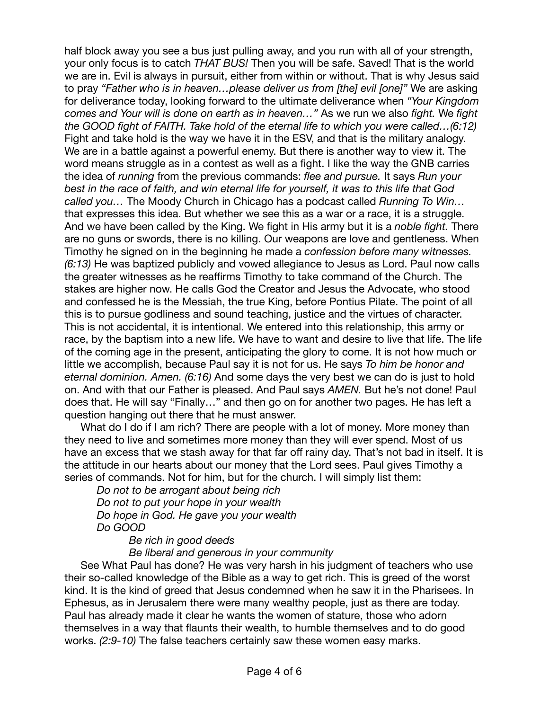half block away you see a bus just pulling away, and you run with all of your strength, your only focus is to catch *THAT BUS!* Then you will be safe. Saved! That is the world we are in. Evil is always in pursuit, either from within or without. That is why Jesus said to pray *"Father who is in heaven…please deliver us from [the] evil [one]"* We are asking for deliverance today, looking forward to the ultimate deliverance when *"Your Kingdom comes and Your will is done on earth as in heaven…"* As we run we also *fight.* We *fight the GOOD fight of FAITH. Take hold of the eternal life to which you were called…(6:12)*  Fight and take hold is the way we have it in the ESV, and that is the military analogy. We are in a battle against a powerful enemy. But there is another way to view it. The word means struggle as in a contest as well as a fight. I like the way the GNB carries the idea of *running* from the previous commands: *flee and pursue.* It says *Run your best in the race of faith, and win eternal life for yourself, it was to this life that God called you…* The Moody Church in Chicago has a podcast called *Running To Win…*  that expresses this idea. But whether we see this as a war or a race, it is a struggle. And we have been called by the King. We fight in His army but it is a *noble fight.* There are no guns or swords, there is no killing. Our weapons are love and gentleness. When Timothy he signed on in the beginning he made a *confession before many witnesses. (6:13)* He was baptized publicly and vowed allegiance to Jesus as Lord. Paul now calls the greater witnesses as he reaffirms Timothy to take command of the Church. The stakes are higher now. He calls God the Creator and Jesus the Advocate, who stood and confessed he is the Messiah, the true King, before Pontius Pilate. The point of all this is to pursue godliness and sound teaching, justice and the virtues of character. This is not accidental, it is intentional. We entered into this relationship, this army or race, by the baptism into a new life. We have to want and desire to live that life. The life of the coming age in the present, anticipating the glory to come. It is not how much or little we accomplish, because Paul say it is not for us. He says *To him be honor and eternal dominion. Amen. (6:16)* And some days the very best we can do is just to hold on. And with that our Father is pleased. And Paul says *AMEN.* But he's not done! Paul does that. He will say "Finally…" and then go on for another two pages. He has left a question hanging out there that he must answer.

What do I do if I am rich? There are people with a lot of money. More money than they need to live and sometimes more money than they will ever spend. Most of us have an excess that we stash away for that far off rainy day. That's not bad in itself. It is the attitude in our hearts about our money that the Lord sees. Paul gives Timothy a series of commands. Not for him, but for the church. I will simply list them:

*Do not to be arrogant about being rich Do not to put your hope in your wealth Do hope in God. He gave you your wealth Do GOOD* 

*Be rich in good deeds* 

*Be liberal and generous in your community* 

See What Paul has done? He was very harsh in his judgment of teachers who use their so-called knowledge of the Bible as a way to get rich. This is greed of the worst kind. It is the kind of greed that Jesus condemned when he saw it in the Pharisees. In Ephesus, as in Jerusalem there were many wealthy people, just as there are today. Paul has already made it clear he wants the women of stature, those who adorn themselves in a way that flaunts their wealth, to humble themselves and to do good works. *(2:9-10)* The false teachers certainly saw these women easy marks.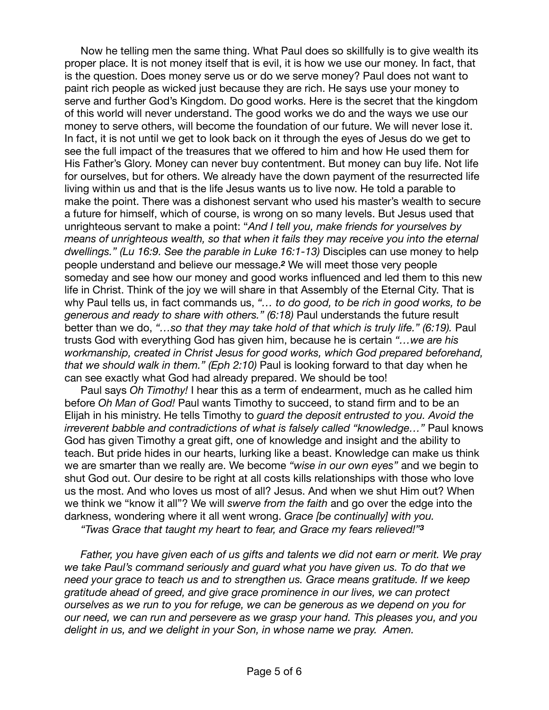Now he telling men the same thing. What Paul does so skillfully is to give wealth its proper place. It is not money itself that is evil, it is how we use our money. In fact, that is the question. Does money serve us or do we serve money? Paul does not want to paint rich people as wicked just because they are rich. He says use your money to serve and further God's Kingdom. Do good works. Here is the secret that the kingdom of this world will never understand. The good works we do and the ways we use our money to serve others, will become the foundation of our future. We will never lose it. In fact, it is not until we get to look back on it through the eyes of Jesus do we get to see the full impact of the treasures that we offered to him and how He used them for His Father's Glory. Money can never buy contentment. But money can buy life. Not life for ourselves, but for others. We already have the down payment of the resurrected life living within us and that is the life Jesus wants us to live now. He told a parable to make the point. There was a dishonest servant who used his master's wealth to secure a future for himself, which of course, is wrong on so many levels. But Jesus used that unrighteous servant to make a point: "*And I tell you, make friends for yourselves by means of unrighteous wealth, so that when it fails they may receive you into the eternal dwellings." (Lu 16:9. See the parable in Luke 16:1-13)* Disciples can use money to help people understand and believe our message.*2* We will meet those very people someday and see how our money and good works influenced and led them to this new life in Christ. Think of the joy we will share in that Assembly of the Eternal City. That is why Paul tells us, in fact commands us, *"… to do good, to be rich in good works, to be generous and ready to share with others." (6:18)* Paul understands the future result better than we do, "...so that they may take hold of that which is truly life." (6:19). Paul trusts God with everything God has given him, because he is certain *"…we are his workmanship, created in Christ Jesus for good works, which God prepared beforehand, that we should walk in them." (Eph 2:10)* Paul is looking forward to that day when he can see exactly what God had already prepared. We should be too!

Paul says *Oh Timothy!* I hear this as a term of endearment, much as he called him before *Oh Man of God!* Paul wants Timothy to succeed, to stand firm and to be an Elijah in his ministry. He tells Timothy to *guard the deposit entrusted to you. Avoid the irreverent babble and contradictions of what is falsely called "knowledge…"* Paul knows God has given Timothy a great gift, one of knowledge and insight and the ability to teach. But pride hides in our hearts, lurking like a beast. Knowledge can make us think we are smarter than we really are. We become *"wise in our own eyes"* and we begin to shut God out. Our desire to be right at all costs kills relationships with those who love us the most. And who loves us most of all? Jesus. And when we shut Him out? When we think we "know it all"? We will *swerve from the faith* and go over the edge into the darkness, wondering where it all went wrong. *Grace [be continually] with you.* 

*"Twas Grace that taught my heart to fear, and Grace my fears relieved!"<sup>3</sup>*

*Father, you have given each of us gifts and talents we did not earn or merit. We pray we take Paul's command seriously and guard what you have given us. To do that we need your grace to teach us and to strengthen us. Grace means gratitude. If we keep gratitude ahead of greed, and give grace prominence in our lives, we can protect ourselves as we run to you for refuge, we can be generous as we depend on you for our need, we can run and persevere as we grasp your hand. This pleases you, and you delight in us, and we delight in your Son, in whose name we pray. Amen.*